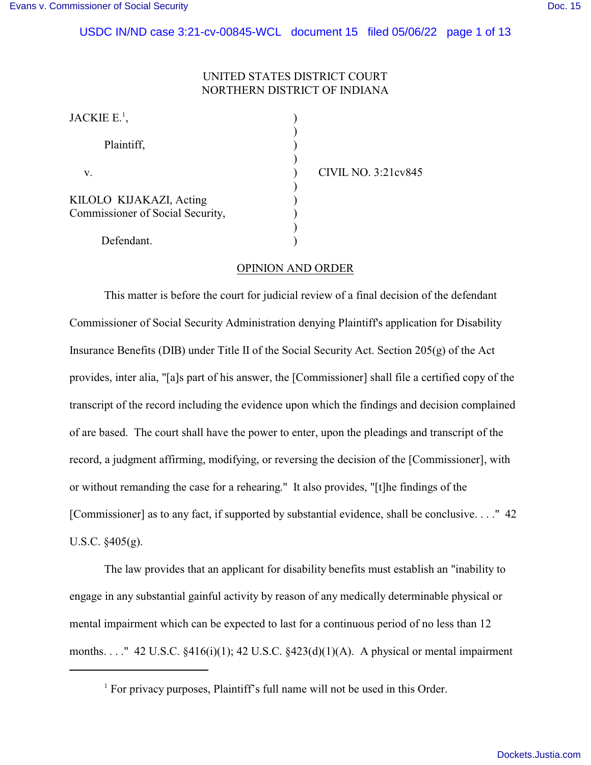# UNITED STATES DISTRICT COURT NORTHERN DISTRICT OF INDIANA

| JACKIE E. <sup>1</sup> ,                                    |  |
|-------------------------------------------------------------|--|
| Plaintiff,                                                  |  |
| V.                                                          |  |
| KILOLO KIJAKAZI, Acting<br>Commissioner of Social Security, |  |
| Defendant.                                                  |  |

CIVIL NO. 3:21cv845

## OPINION AND ORDER

This matter is before the court for judicial review of a final decision of the defendant Commissioner of Social Security Administration denying Plaintiff's application for Disability Insurance Benefits (DIB) under Title II of the Social Security Act. Section 205(g) of the Act provides, inter alia, "[a]s part of his answer, the [Commissioner] shall file a certified copy of the transcript of the record including the evidence upon which the findings and decision complained of are based. The court shall have the power to enter, upon the pleadings and transcript of the record, a judgment affirming, modifying, or reversing the decision of the [Commissioner], with or without remanding the case for a rehearing." It also provides, "[t]he findings of the [Commissioner] as to any fact, if supported by substantial evidence, shall be conclusive. . . ." 42 U.S.C. §405(g).

The law provides that an applicant for disability benefits must establish an "inability to engage in any substantial gainful activity by reason of any medically determinable physical or mental impairment which can be expected to last for a continuous period of no less than 12 months. . . . "42 U.S.C.  $\S416(i)(1)$ ; 42 U.S.C.  $\S423(d)(1)(A)$ . A physical or mental impairment

<sup>&</sup>lt;sup>1</sup> For privacy purposes, Plaintiff's full name will not be used in this Order.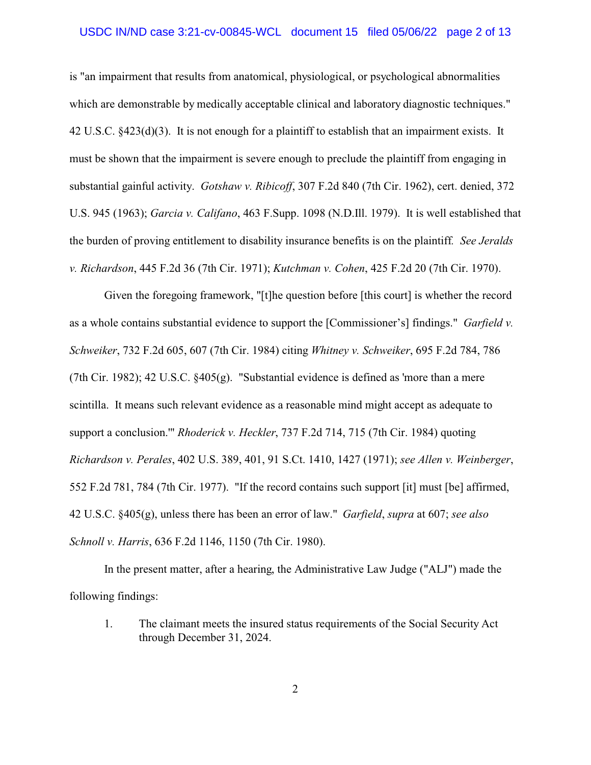is "an impairment that results from anatomical, physiological, or psychological abnormalities which are demonstrable by medically acceptable clinical and laboratory diagnostic techniques." 42 U.S.C. §423(d)(3). It is not enough for a plaintiff to establish that an impairment exists. It must be shown that the impairment is severe enough to preclude the plaintiff from engaging in substantial gainful activity. *Gotshaw v. Ribicoff*, 307 F.2d 840 (7th Cir. 1962), cert. denied, 372 U.S. 945 (1963); *Garcia v. Califano*, 463 F.Supp. 1098 (N.D.Ill. 1979). It is well established that the burden of proving entitlement to disability insurance benefits is on the plaintiff*. See Jeralds v. Richardson*, 445 F.2d 36 (7th Cir. 1971); *Kutchman v. Cohen*, 425 F.2d 20 (7th Cir. 1970).

Given the foregoing framework, "[t]he question before [this court] is whether the record as a whole contains substantial evidence to support the [Commissioner's] findings." *Garfield v. Schweiker*, 732 F.2d 605, 607 (7th Cir. 1984) citing *Whitney v. Schweiker*, 695 F.2d 784, 786 (7th Cir. 1982); 42 U.S.C. §405(g). "Substantial evidence is defined as 'more than a mere scintilla. It means such relevant evidence as a reasonable mind might accept as adequate to support a conclusion.'" *Rhoderick v. Heckler*, 737 F.2d 714, 715 (7th Cir. 1984) quoting *Richardson v. Perales*, 402 U.S. 389, 401, 91 S.Ct. 1410, 1427 (1971); *see Allen v. Weinberger*, 552 F.2d 781, 784 (7th Cir. 1977). "If the record contains such support [it] must [be] affirmed, 42 U.S.C. §405(g), unless there has been an error of law." *Garfield*, *supra* at 607; *see also Schnoll v. Harris*, 636 F.2d 1146, 1150 (7th Cir. 1980).

In the present matter, after a hearing, the Administrative Law Judge ("ALJ") made the following findings:

1. The claimant meets the insured status requirements of the Social Security Act through December 31, 2024.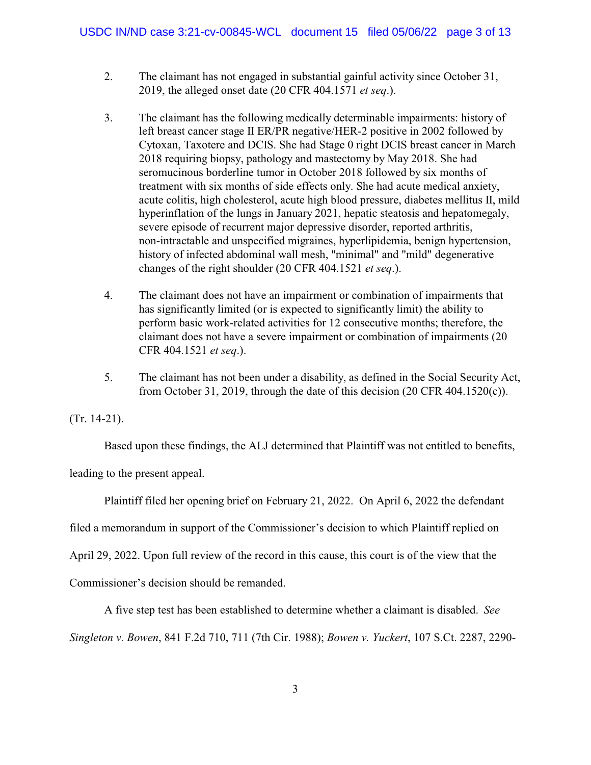- 2. The claimant has not engaged in substantial gainful activity since October 31, 2019, the alleged onset date (20 CFR 404.1571 *et seq*.).
- 3. The claimant has the following medically determinable impairments: history of left breast cancer stage II ER/PR negative/HER-2 positive in 2002 followed by Cytoxan, Taxotere and DCIS. She had Stage 0 right DCIS breast cancer in March 2018 requiring biopsy, pathology and mastectomy by May 2018. She had seromucinous borderline tumor in October 2018 followed by six months of treatment with six months of side effects only. She had acute medical anxiety, acute colitis, high cholesterol, acute high blood pressure, diabetes mellitus II, mild hyperinflation of the lungs in January 2021, hepatic steatosis and hepatomegaly, severe episode of recurrent major depressive disorder, reported arthritis, non-intractable and unspecified migraines, hyperlipidemia, benign hypertension, history of infected abdominal wall mesh, "minimal" and "mild" degenerative changes of the right shoulder (20 CFR 404.1521 *et seq*.).
- 4. The claimant does not have an impairment or combination of impairments that has significantly limited (or is expected to significantly limit) the ability to perform basic work-related activities for 12 consecutive months; therefore, the claimant does not have a severe impairment or combination of impairments (20 CFR 404.1521 *et seq*.).
- 5. The claimant has not been under a disability, as defined in the Social Security Act, from October 31, 2019, through the date of this decision  $(20 \text{ CFR } 404.1520(c))$ .

(Tr. 14-21).

Based upon these findings, the ALJ determined that Plaintiff was not entitled to benefits,

leading to the present appeal.

Plaintiff filed her opening brief on February 21, 2022. On April 6, 2022 the defendant

filed a memorandum in support of the Commissioner's decision to which Plaintiff replied on

April 29, 2022. Upon full review of the record in this cause, this court is of the view that the

Commissioner's decision should be remanded.

A five step test has been established to determine whether a claimant is disabled. *See*

*Singleton v. Bowen*, 841 F.2d 710, 711 (7th Cir. 1988); *Bowen v. Yuckert*, 107 S.Ct. 2287, 2290-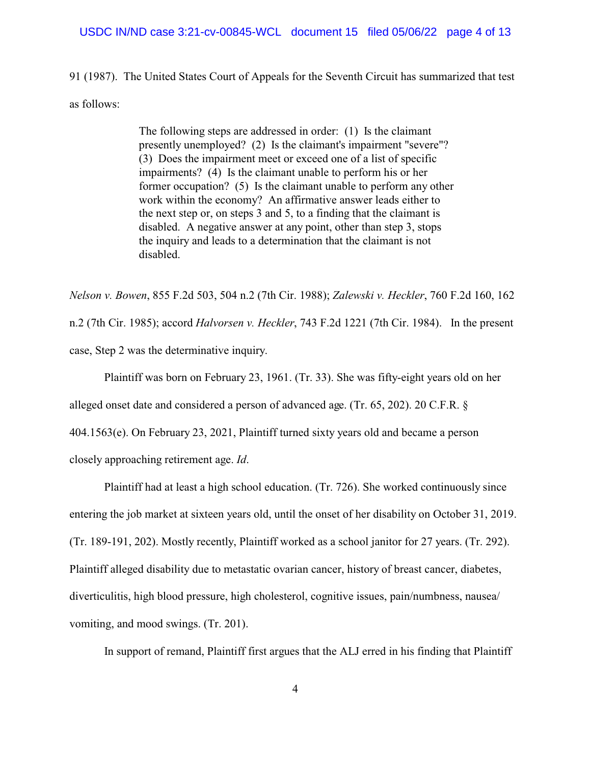#### USDC IN/ND case 3:21-cv-00845-WCL document 15 filed 05/06/22 page 4 of 13

91 (1987). The United States Court of Appeals for the Seventh Circuit has summarized that test as follows:

> The following steps are addressed in order: (1) Is the claimant presently unemployed? (2) Is the claimant's impairment "severe"? (3) Does the impairment meet or exceed one of a list of specific impairments? (4) Is the claimant unable to perform his or her former occupation? (5) Is the claimant unable to perform any other work within the economy? An affirmative answer leads either to the next step or, on steps 3 and 5, to a finding that the claimant is disabled. A negative answer at any point, other than step 3, stops the inquiry and leads to a determination that the claimant is not disabled.

*Nelson v. Bowen*, 855 F.2d 503, 504 n.2 (7th Cir. 1988); *Zalewski v. Heckler*, 760 F.2d 160, 162 n.2 (7th Cir. 1985); accord *Halvorsen v. Heckler*, 743 F.2d 1221 (7th Cir. 1984). In the present case, Step 2 was the determinative inquiry.

Plaintiff was born on February 23, 1961. (Tr. 33). She was fifty-eight years old on her

alleged onset date and considered a person of advanced age. (Tr. 65, 202). 20 C.F.R. §

404.1563(e). On February 23, 2021, Plaintiff turned sixty years old and became a person closely approaching retirement age. *Id*.

Plaintiff had at least a high school education. (Tr. 726). She worked continuously since entering the job market at sixteen years old, until the onset of her disability on October 31, 2019. (Tr. 189-191, 202). Mostly recently, Plaintiff worked as a school janitor for 27 years. (Tr. 292). Plaintiff alleged disability due to metastatic ovarian cancer, history of breast cancer, diabetes, diverticulitis, high blood pressure, high cholesterol, cognitive issues, pain/numbness, nausea/ vomiting, and mood swings. (Tr. 201).

In support of remand, Plaintiff first argues that the ALJ erred in his finding that Plaintiff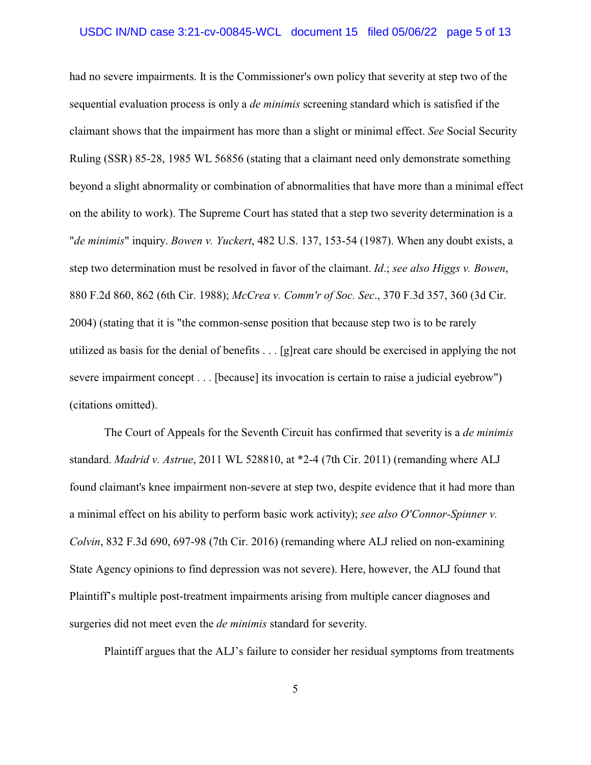had no severe impairments. It is the Commissioner's own policy that severity at step two of the sequential evaluation process is only a *de minimis* screening standard which is satisfied if the claimant shows that the impairment has more than a slight or minimal effect. *See* Social Security Ruling (SSR) 85-28, 1985 WL 56856 (stating that a claimant need only demonstrate something beyond a slight abnormality or combination of abnormalities that have more than a minimal effect on the ability to work). The Supreme Court has stated that a step two severity determination is a "*de minimis*" inquiry. *Bowen v. Yuckert*, 482 U.S. 137, 153-54 (1987). When any doubt exists, a step two determination must be resolved in favor of the claimant. *Id*.; *see also Higgs v. Bowen*, 880 F.2d 860, 862 (6th Cir. 1988); *McCrea v. Comm'r of Soc. Sec*., 370 F.3d 357, 360 (3d Cir. 2004) (stating that it is "the common-sense position that because step two is to be rarely utilized as basis for the denial of benefits . . . [g]reat care should be exercised in applying the not severe impairment concept . . . [because] its invocation is certain to raise a judicial eyebrow") (citations omitted).

The Court of Appeals for the Seventh Circuit has confirmed that severity is a *de minimis* standard. *Madrid v. Astrue*, 2011 WL 528810, at \*2-4 (7th Cir. 2011) (remanding where ALJ found claimant's knee impairment non-severe at step two, despite evidence that it had more than a minimal effect on his ability to perform basic work activity); *see also O'Connor-Spinner v. Colvin*, 832 F.3d 690, 697-98 (7th Cir. 2016) (remanding where ALJ relied on non-examining State Agency opinions to find depression was not severe). Here, however, the ALJ found that Plaintiff's multiple post-treatment impairments arising from multiple cancer diagnoses and surgeries did not meet even the *de minimis* standard for severity.

Plaintiff argues that the ALJ's failure to consider her residual symptoms from treatments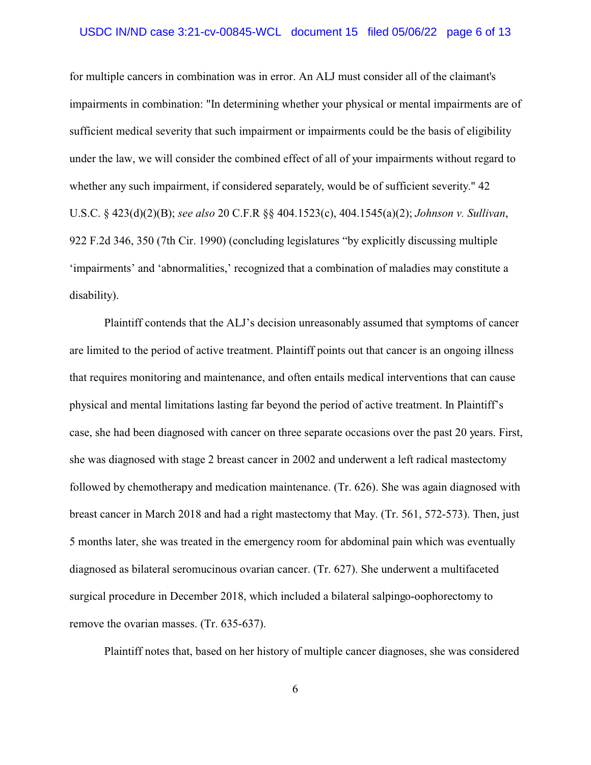#### USDC IN/ND case 3:21-cv-00845-WCL document 15 filed 05/06/22 page 6 of 13

for multiple cancers in combination was in error. An ALJ must consider all of the claimant's impairments in combination: "In determining whether your physical or mental impairments are of sufficient medical severity that such impairment or impairments could be the basis of eligibility under the law, we will consider the combined effect of all of your impairments without regard to whether any such impairment, if considered separately, would be of sufficient severity." 42 U.S.C. § 423(d)(2)(B); *see also* 20 C.F.R §§ 404.1523(c), 404.1545(a)(2); *Johnson v. Sullivan*, 922 F.2d 346, 350 (7th Cir. 1990) (concluding legislatures "by explicitly discussing multiple 'impairments' and 'abnormalities,' recognized that a combination of maladies may constitute a disability).

Plaintiff contends that the ALJ's decision unreasonably assumed that symptoms of cancer are limited to the period of active treatment. Plaintiff points out that cancer is an ongoing illness that requires monitoring and maintenance, and often entails medical interventions that can cause physical and mental limitations lasting far beyond the period of active treatment. In Plaintiff's case, she had been diagnosed with cancer on three separate occasions over the past 20 years. First, she was diagnosed with stage 2 breast cancer in 2002 and underwent a left radical mastectomy followed by chemotherapy and medication maintenance. (Tr. 626). She was again diagnosed with breast cancer in March 2018 and had a right mastectomy that May. (Tr. 561, 572-573). Then, just 5 months later, she was treated in the emergency room for abdominal pain which was eventually diagnosed as bilateral seromucinous ovarian cancer. (Tr. 627). She underwent a multifaceted surgical procedure in December 2018, which included a bilateral salpingo-oophorectomy to remove the ovarian masses. (Tr. 635-637).

Plaintiff notes that, based on her history of multiple cancer diagnoses, she was considered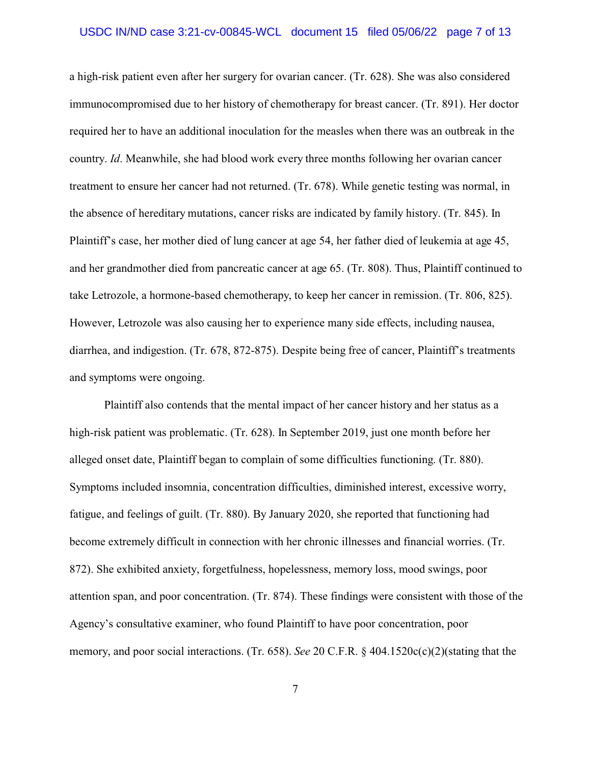a high-risk patient even after her surgery for ovarian cancer. (Tr. 628). She was also considered immunocompromised due to her history of chemotherapy for breast cancer. (Tr. 891). Her doctor required her to have an additional inoculation for the measles when there was an outbreak in the country. *Id*. Meanwhile, she had blood work every three months following her ovarian cancer treatment to ensure her cancer had not returned. (Tr. 678). While genetic testing was normal, in the absence of hereditary mutations, cancer risks are indicated by family history. (Tr. 845). In Plaintiff's case, her mother died of lung cancer at age 54, her father died of leukemia at age 45, and her grandmother died from pancreatic cancer at age 65. (Tr. 808). Thus, Plaintiff continued to take Letrozole, a hormone-based chemotherapy, to keep her cancer in remission. (Tr. 806, 825). However, Letrozole was also causing her to experience many side effects, including nausea, diarrhea, and indigestion. (Tr. 678, 872-875). Despite being free of cancer, Plaintiff's treatments and symptoms were ongoing.

Plaintiff also contends that the mental impact of her cancer history and her status as a high-risk patient was problematic. (Tr. 628). In September 2019, just one month before her alleged onset date, Plaintiff began to complain of some difficulties functioning. (Tr. 880). Symptoms included insomnia, concentration difficulties, diminished interest, excessive worry, fatigue, and feelings of guilt. (Tr. 880). By January 2020, she reported that functioning had become extremely difficult in connection with her chronic illnesses and financial worries. (Tr. 872). She exhibited anxiety, forgetfulness, hopelessness, memory loss, mood swings, poor attention span, and poor concentration. (Tr. 874). These findings were consistent with those of the Agency's consultative examiner, who found Plaintiff to have poor concentration, poor memory, and poor social interactions. (Tr. 658). *See* 20 C.F.R. § 404.1520c(c)(2)(stating that the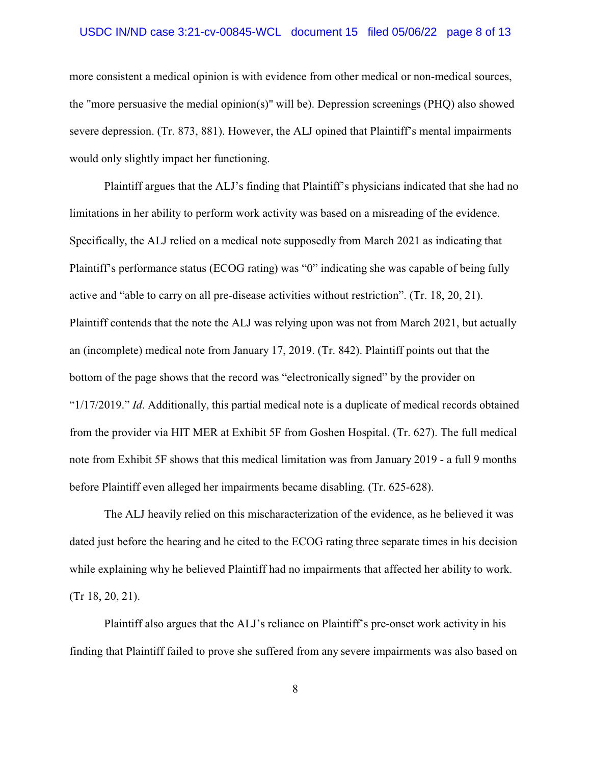#### USDC IN/ND case 3:21-cv-00845-WCL document 15 filed 05/06/22 page 8 of 13

more consistent a medical opinion is with evidence from other medical or non-medical sources, the "more persuasive the medial opinion(s)" will be). Depression screenings (PHQ) also showed severe depression. (Tr. 873, 881). However, the ALJ opined that Plaintiff's mental impairments would only slightly impact her functioning.

Plaintiff argues that the ALJ's finding that Plaintiff's physicians indicated that she had no limitations in her ability to perform work activity was based on a misreading of the evidence. Specifically, the ALJ relied on a medical note supposedly from March 2021 as indicating that Plaintiff's performance status (ECOG rating) was "0" indicating she was capable of being fully active and "able to carry on all pre-disease activities without restriction". (Tr. 18, 20, 21). Plaintiff contends that the note the ALJ was relying upon was not from March 2021, but actually an (incomplete) medical note from January 17, 2019. (Tr. 842). Plaintiff points out that the bottom of the page shows that the record was "electronically signed" by the provider on "1/17/2019." *Id*. Additionally, this partial medical note is a duplicate of medical records obtained from the provider via HIT MER at Exhibit 5F from Goshen Hospital. (Tr. 627). The full medical note from Exhibit 5F shows that this medical limitation was from January 2019 - a full 9 months before Plaintiff even alleged her impairments became disabling. (Tr. 625-628).

The ALJ heavily relied on this mischaracterization of the evidence, as he believed it was dated just before the hearing and he cited to the ECOG rating three separate times in his decision while explaining why he believed Plaintiff had no impairments that affected her ability to work. (Tr 18, 20, 21).

Plaintiff also argues that the ALJ's reliance on Plaintiff's pre-onset work activity in his finding that Plaintiff failed to prove she suffered from any severe impairments was also based on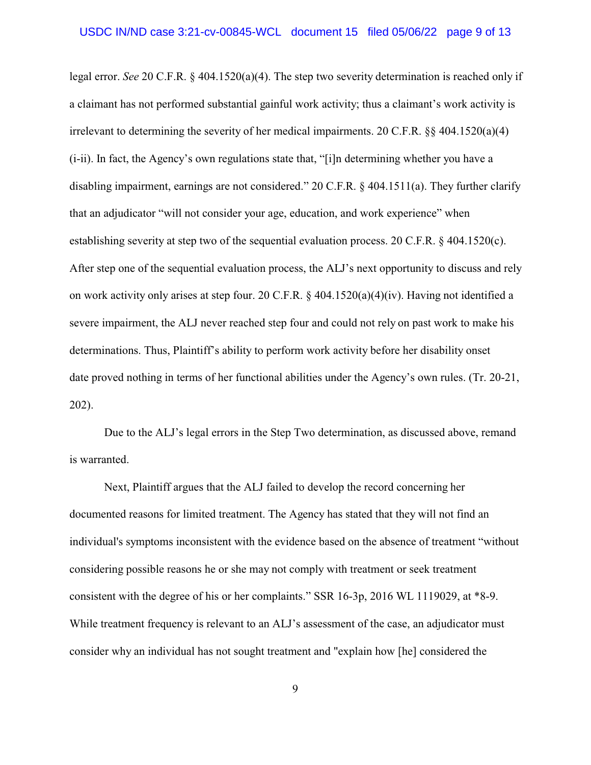legal error. *See* 20 C.F.R. § 404.1520(a)(4). The step two severity determination is reached only if a claimant has not performed substantial gainful work activity; thus a claimant's work activity is irrelevant to determining the severity of her medical impairments. 20 C.F.R.  $\S$  404.1520(a)(4) (i-ii). In fact, the Agency's own regulations state that, "[i]n determining whether you have a disabling impairment, earnings are not considered." 20 C.F.R. § 404.1511(a). They further clarify that an adjudicator "will not consider your age, education, and work experience" when establishing severity at step two of the sequential evaluation process. 20 C.F.R. § 404.1520(c). After step one of the sequential evaluation process, the ALJ's next opportunity to discuss and rely on work activity only arises at step four. 20 C.F.R. § 404.1520(a)(4)(iv). Having not identified a severe impairment, the ALJ never reached step four and could not rely on past work to make his determinations. Thus, Plaintiff's ability to perform work activity before her disability onset date proved nothing in terms of her functional abilities under the Agency's own rules. (Tr. 20-21, 202).

Due to the ALJ's legal errors in the Step Two determination, as discussed above, remand is warranted.

Next, Plaintiff argues that the ALJ failed to develop the record concerning her documented reasons for limited treatment. The Agency has stated that they will not find an individual's symptoms inconsistent with the evidence based on the absence of treatment "without considering possible reasons he or she may not comply with treatment or seek treatment consistent with the degree of his or her complaints." SSR 16-3p, 2016 WL 1119029, at \*8-9. While treatment frequency is relevant to an ALJ's assessment of the case, an adjudicator must consider why an individual has not sought treatment and "explain how [he] considered the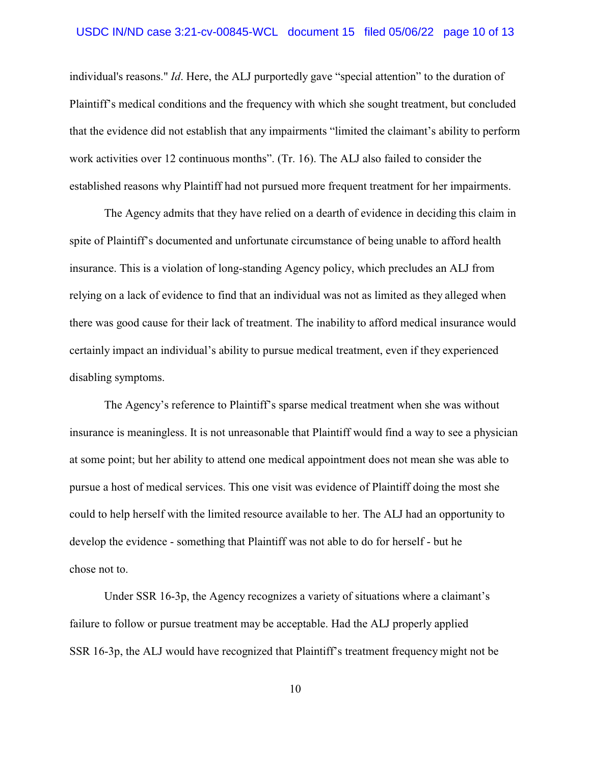individual's reasons." *Id*. Here, the ALJ purportedly gave "special attention" to the duration of Plaintiff's medical conditions and the frequency with which she sought treatment, but concluded that the evidence did not establish that any impairments "limited the claimant's ability to perform work activities over 12 continuous months". (Tr. 16). The ALJ also failed to consider the established reasons why Plaintiff had not pursued more frequent treatment for her impairments.

The Agency admits that they have relied on a dearth of evidence in deciding this claim in spite of Plaintiff's documented and unfortunate circumstance of being unable to afford health insurance. This is a violation of long-standing Agency policy, which precludes an ALJ from relying on a lack of evidence to find that an individual was not as limited as they alleged when there was good cause for their lack of treatment. The inability to afford medical insurance would certainly impact an individual's ability to pursue medical treatment, even if they experienced disabling symptoms.

The Agency's reference to Plaintiff's sparse medical treatment when she was without insurance is meaningless. It is not unreasonable that Plaintiff would find a way to see a physician at some point; but her ability to attend one medical appointment does not mean she was able to pursue a host of medical services. This one visit was evidence of Plaintiff doing the most she could to help herself with the limited resource available to her. The ALJ had an opportunity to develop the evidence - something that Plaintiff was not able to do for herself - but he chose not to.

Under SSR 16-3p, the Agency recognizes a variety of situations where a claimant's failure to follow or pursue treatment may be acceptable. Had the ALJ properly applied SSR 16-3p, the ALJ would have recognized that Plaintiff's treatment frequency might not be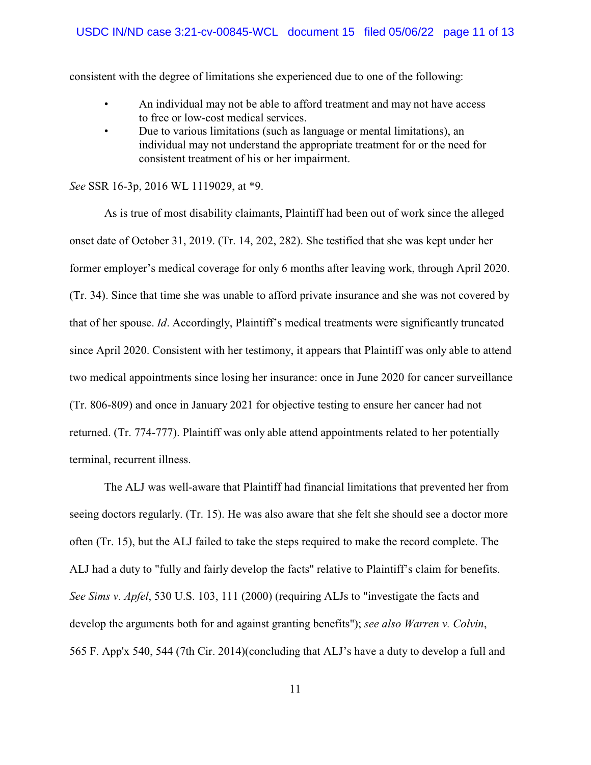consistent with the degree of limitations she experienced due to one of the following:

- An individual may not be able to afford treatment and may not have access to free or low-cost medical services.
- Due to various limitations (such as language or mental limitations), an individual may not understand the appropriate treatment for or the need for consistent treatment of his or her impairment.

*See* SSR 16-3p, 2016 WL 1119029, at \*9.

As is true of most disability claimants, Plaintiff had been out of work since the alleged onset date of October 31, 2019. (Tr. 14, 202, 282). She testified that she was kept under her former employer's medical coverage for only 6 months after leaving work, through April 2020. (Tr. 34). Since that time she was unable to afford private insurance and she was not covered by that of her spouse. *Id*. Accordingly, Plaintiff's medical treatments were significantly truncated since April 2020. Consistent with her testimony, it appears that Plaintiff was only able to attend two medical appointments since losing her insurance: once in June 2020 for cancer surveillance (Tr. 806-809) and once in January 2021 for objective testing to ensure her cancer had not returned. (Tr. 774-777). Plaintiff was only able attend appointments related to her potentially terminal, recurrent illness.

The ALJ was well-aware that Plaintiff had financial limitations that prevented her from seeing doctors regularly. (Tr. 15). He was also aware that she felt she should see a doctor more often (Tr. 15), but the ALJ failed to take the steps required to make the record complete. The ALJ had a duty to "fully and fairly develop the facts" relative to Plaintiff's claim for benefits. *See Sims v. Apfel*, 530 U.S. 103, 111 (2000) (requiring ALJs to "investigate the facts and develop the arguments both for and against granting benefits"); *see also Warren v. Colvin*, 565 F. App'x 540, 544 (7th Cir. 2014)(concluding that ALJ's have a duty to develop a full and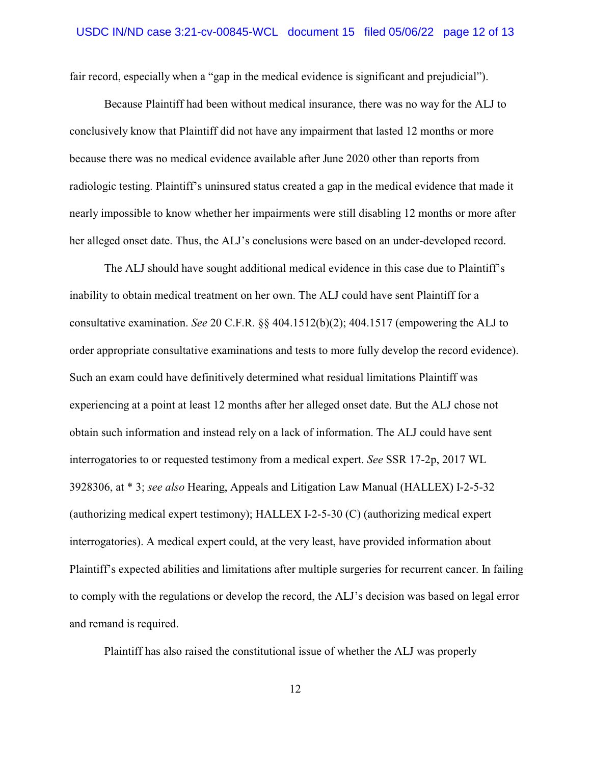fair record, especially when a "gap in the medical evidence is significant and prejudicial").

Because Plaintiff had been without medical insurance, there was no way for the ALJ to conclusively know that Plaintiff did not have any impairment that lasted 12 months or more because there was no medical evidence available after June 2020 other than reports from radiologic testing. Plaintiff's uninsured status created a gap in the medical evidence that made it nearly impossible to know whether her impairments were still disabling 12 months or more after her alleged onset date. Thus, the ALJ's conclusions were based on an under-developed record.

The ALJ should have sought additional medical evidence in this case due to Plaintiff's inability to obtain medical treatment on her own. The ALJ could have sent Plaintiff for a consultative examination. *See* 20 C.F.R. §§ 404.1512(b)(2); 404.1517 (empowering the ALJ to order appropriate consultative examinations and tests to more fully develop the record evidence). Such an exam could have definitively determined what residual limitations Plaintiff was experiencing at a point at least 12 months after her alleged onset date. But the ALJ chose not obtain such information and instead rely on a lack of information. The ALJ could have sent interrogatories to or requested testimony from a medical expert. *See* SSR 17-2p, 2017 WL 3928306, at \* 3; *see also* Hearing, Appeals and Litigation Law Manual (HALLEX) I-2-5-32 (authorizing medical expert testimony); HALLEX I-2-5-30 (C) (authorizing medical expert interrogatories). A medical expert could, at the very least, have provided information about Plaintiff's expected abilities and limitations after multiple surgeries for recurrent cancer. In failing to comply with the regulations or develop the record, the ALJ's decision was based on legal error and remand is required.

Plaintiff has also raised the constitutional issue of whether the ALJ was properly